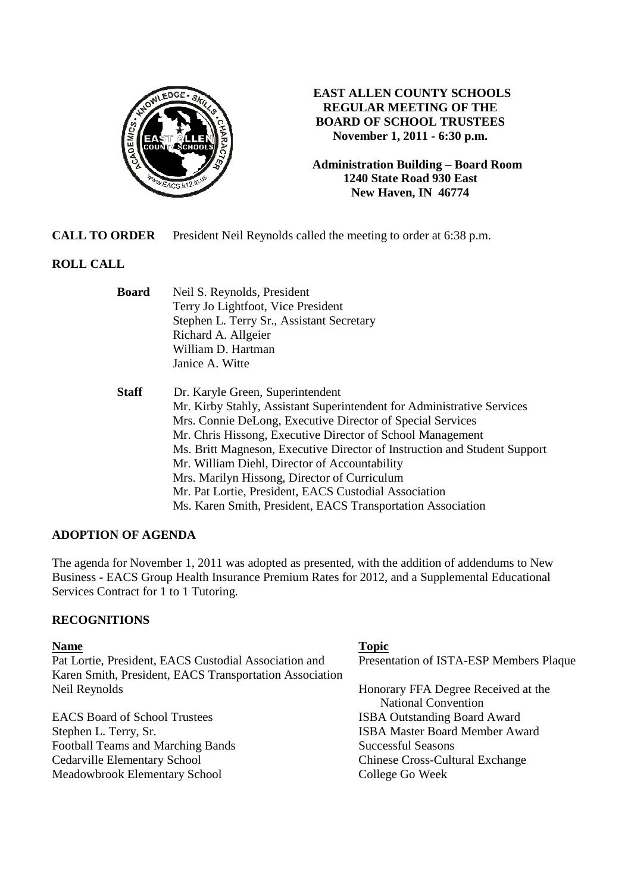

# **EAST ALLEN COUNTY SCHOOLS REGULAR MEETING OF THE BOARD OF SCHOOL TRUSTEES November 1, 2011 - 6:30 p.m.**

**Administration Building – Board Room 1240 State Road 930 East New Haven, IN 46774**

**CALL TO ORDER** President Neil Reynolds called the meeting to order at 6:38 p.m.

# **ROLL CALL**

| <b>Board</b> | Neil S. Reynolds, President                                               |
|--------------|---------------------------------------------------------------------------|
|              | Terry Jo Lightfoot, Vice President                                        |
|              | Stephen L. Terry Sr., Assistant Secretary                                 |
|              | Richard A. Allgeier                                                       |
|              | William D. Hartman                                                        |
|              | Janice A. Witte                                                           |
| <b>Staff</b> | Dr. Karyle Green, Superintendent                                          |
|              | Mr. Kirby Stahly, Assistant Superintendent for Administrative Services    |
|              | Mrs. Connie DeLong, Executive Director of Special Services                |
|              | Mr. Chris Hissong, Executive Director of School Management                |
|              | Ms. Britt Magneson, Executive Director of Instruction and Student Support |
|              | Mr. William Diehl, Director of Accountability                             |
|              | Mrs. Marilyn Hissong, Director of Curriculum                              |
|              | Mr. Pat Lortie, President, EACS Custodial Association                     |
|              | Ms. Karen Smith, President, EACS Transportation Association               |

### **ADOPTION OF AGENDA**

The agenda for November 1, 2011 was adopted as presented, with the addition of addendums to New Business - EACS Group Health Insurance Premium Rates for 2012, and a Supplemental Educational Services Contract for 1 to 1 Tutoring.

### **RECOGNITIONS**

#### **Name** Topic **Name**

Pat Lortie, President, EACS Custodial Association and Presentation of ISTA-ESP Members Plaque Karen Smith, President, EACS Transportation Association Neil Reynolds Honorary FFA Degree Received at the

Football Teams and Marching Bands Successful Seasons Cedarville Elementary School Chinese Cross-Cultural Exchange<br>Meadowbrook Elementary School College Go Week Meadowbrook Elementary School

National Convention EACS Board of School Trustees **ISBA Outstanding Board Award** Stephen L. Terry, Sr. **ISBA Master Board Member Award**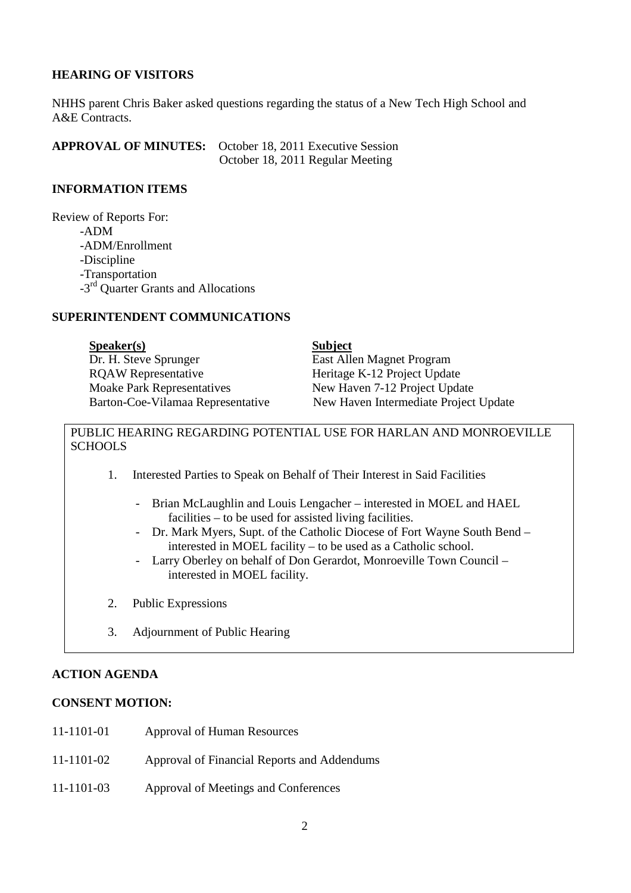## **HEARING OF VISITORS**

NHHS parent Chris Baker asked questions regarding the status of a New Tech High School and A&E Contracts.

**APPROVAL OF MINUTES:** October 18, 2011 Executive Session October 18, 2011 Regular Meeting

#### **INFORMATION ITEMS**

Review of Reports For: -ADM -ADM/Enrollment -Discipline -Transportation -3<sup>rd</sup> Ouarter Grants and Allocations

#### **SUPERINTENDENT COMMUNICATIONS**

| S <sub>p</sub> e <sub>aker(s)</sub> | <b>Subject</b>                        |
|-------------------------------------|---------------------------------------|
| Dr. H. Steve Sprunger               | East Allen Magnet Program             |
| <b>ROAW</b> Representative          | Heritage K-12 Project Update          |
| <b>Moake Park Representatives</b>   | New Haven 7-12 Project Update         |
| Barton-Coe-Vilamaa Representative   | New Haven Intermediate Project Update |

## PUBLIC HEARING REGARDING POTENTIAL USE FOR HARLAN AND MONROEVILLE **SCHOOLS**

- 1. Interested Parties to Speak on Behalf of Their Interest in Said Facilities
	- Brian McLaughlin and Louis Lengacher interested in MOEL and HAEL facilities – to be used for assisted living facilities.
	- Dr. Mark Myers, Supt. of the Catholic Diocese of Fort Wayne South Bend interested in MOEL facility – to be used as a Catholic school.
	- Larry Oberley on behalf of Don Gerardot, Monroeville Town Council interested in MOEL facility.
- 2. Public Expressions
- 3. Adjournment of Public Hearing

### **ACTION AGENDA**

## **CONSENT MOTION:**

- 11-1101-01 Approval of Human Resources
- 11-1101-02 Approval of Financial Reports and Addendums
- 11-1101-03 Approval of Meetings and Conferences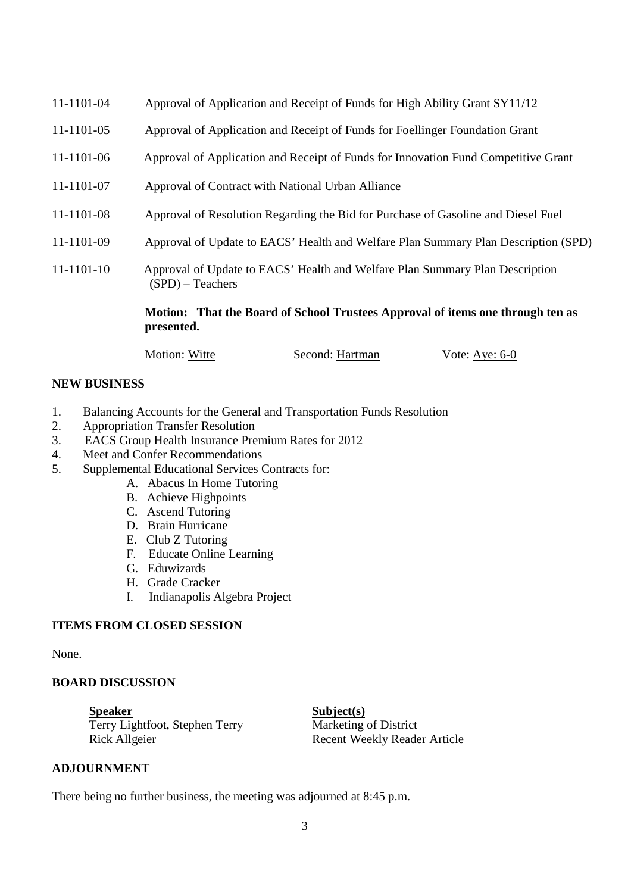| 11-1101-04 | Approval of Application and Receipt of Funds for High Ability Grant SY11/12                        |
|------------|----------------------------------------------------------------------------------------------------|
| 11-1101-05 | Approval of Application and Receipt of Funds for Foellinger Foundation Grant                       |
| 11-1101-06 | Approval of Application and Receipt of Funds for Innovation Fund Competitive Grant                 |
| 11-1101-07 | Approval of Contract with National Urban Alliance                                                  |
| 11-1101-08 | Approval of Resolution Regarding the Bid for Purchase of Gasoline and Diesel Fuel                  |
| 11-1101-09 | Approval of Update to EACS' Health and Welfare Plan Summary Plan Description (SPD)                 |
| 11-1101-10 | Approval of Update to EACS' Health and Welfare Plan Summary Plan Description<br>$(SPD)$ – Teachers |
|            | Motion: That the Board of School Trustees Approval of items one through ten as<br>presented.       |

Motion: Witte Second: Hartman Vote: Aye: 6-0

### **NEW BUSINESS**

- 1. Balancing Accounts for the General and Transportation Funds Resolution
- 2. Appropriation Transfer Resolution
- 3. EACS Group Health Insurance Premium Rates for 2012
- 4. Meet and Confer Recommendations
- 5. Supplemental Educational Services Contracts for:
	- A. Abacus In Home Tutoring
	- B. Achieve Highpoints
	- C. Ascend Tutoring
	- D. Brain Hurricane
	- E. Club Z Tutoring
	- F. Educate Online Learning
	- G. Eduwizards
	- H. Grade Cracker
	- I. Indianapolis Algebra Project

### **ITEMS FROM CLOSED SESSION**

None.

#### **BOARD DISCUSSION**

**ADJOURNMENT**

**Speaker** Subject(s) Terry Lightfoot, Stephen Terry Marketing of District Rick Allgeier Recent Weekly Reader Article

There being no further business, the meeting was adjourned at 8:45 p.m.